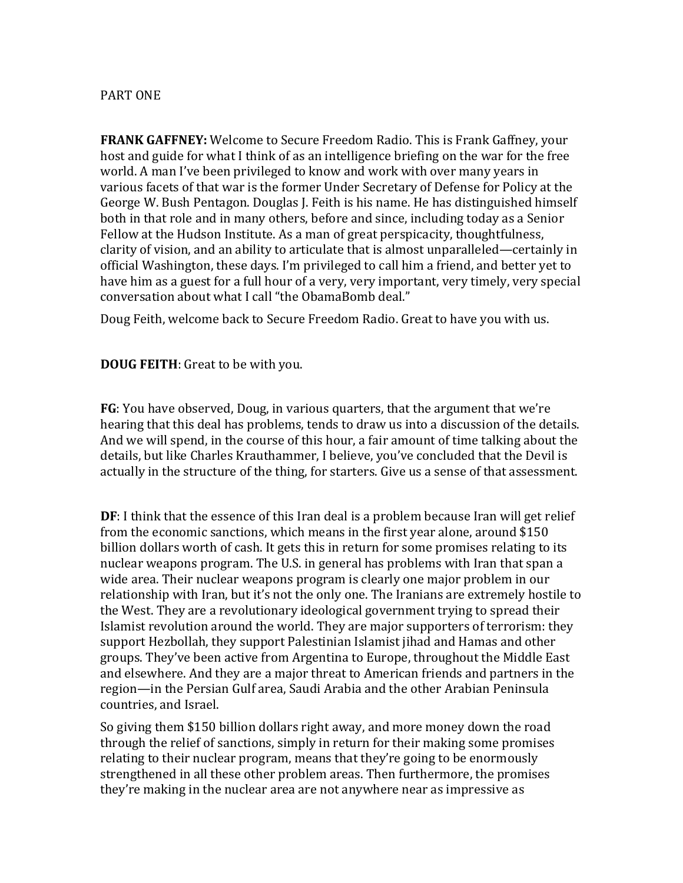## PART ONE

**FRANK GAFFNEY:** Welcome to Secure Freedom Radio. This is Frank Gaffney, your host and guide for what I think of as an intelligence briefing on the war for the free world. A man I've been privileged to know and work with over many years in various facets of that war is the former Under Secretary of Defense for Policy at the George W. Bush Pentagon. Douglas J. Feith is his name. He has distinguished himself both in that role and in many others, before and since, including today as a Senior Fellow at the Hudson Institute. As a man of great perspicacity, thoughtfulness, clarity of vision, and an ability to articulate that is almost unparalleled—certainly in official Washington, these days. I'm privileged to call him a friend, and better yet to have him as a guest for a full hour of a very, very important, very timely, very special conversation about what I call "the ObamaBomb deal."

Doug Feith, welcome back to Secure Freedom Radio. Great to have you with us.

**DOUG FEITH**: Great to be with you.

**FG**: You have observed, Doug, in various quarters, that the argument that we're hearing that this deal has problems, tends to draw us into a discussion of the details. And we will spend, in the course of this hour, a fair amount of time talking about the details, but like Charles Krauthammer, I believe, you've concluded that the Devil is actually in the structure of the thing, for starters. Give us a sense of that assessment.

**DF**: I think that the essence of this Iran deal is a problem because Iran will get relief from the economic sanctions, which means in the first year alone, around \$150 billion dollars worth of cash. It gets this in return for some promises relating to its nuclear weapons program. The U.S. in general has problems with Iran that span a wide area. Their nuclear weapons program is clearly one major problem in our relationship with Iran, but it's not the only one. The Iranians are extremely hostile to the West. They are a revolutionary ideological government trying to spread their Islamist revolution around the world. They are major supporters of terrorism: they support Hezbollah, they support Palestinian Islamist jihad and Hamas and other groups. They've been active from Argentina to Europe, throughout the Middle East and elsewhere. And they are a major threat to American friends and partners in the region—in the Persian Gulf area, Saudi Arabia and the other Arabian Peninsula countries, and Israel.

So giving them \$150 billion dollars right away, and more money down the road through the relief of sanctions, simply in return for their making some promises relating to their nuclear program, means that they're going to be enormously strengthened in all these other problem areas. Then furthermore, the promises they're making in the nuclear area are not anywhere near as impressive as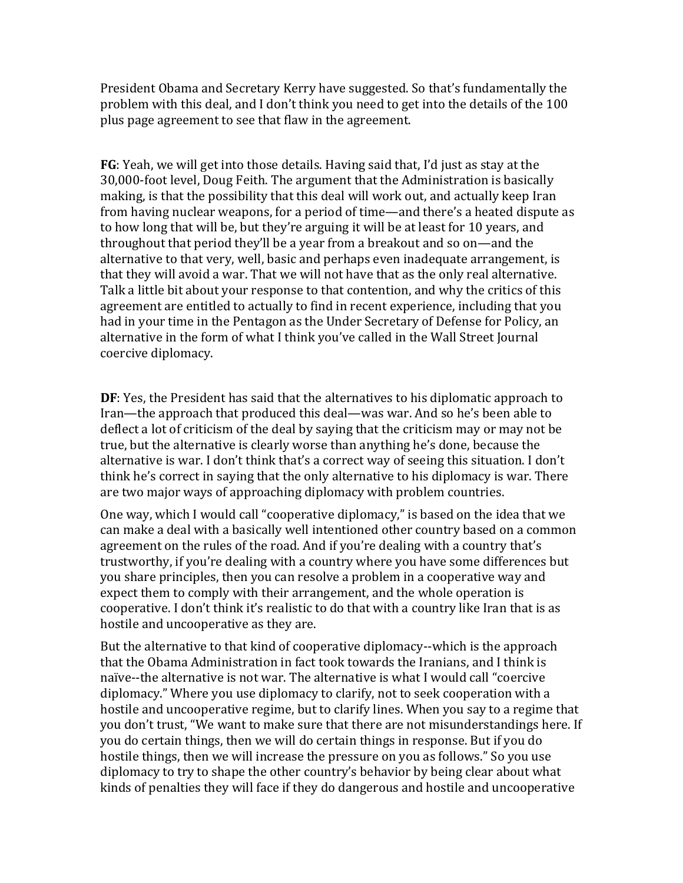President Obama and Secretary Kerry have suggested. So that's fundamentally the problem with this deal, and I don't think you need to get into the details of the 100 plus page agreement to see that flaw in the agreement.

**FG**: Yeah, we will get into those details. Having said that, I'd just as stay at the 30,000-foot level, Doug Feith. The argument that the Administration is basically making, is that the possibility that this deal will work out, and actually keep Iran from having nuclear weapons, for a period of time—and there's a heated dispute as to how long that will be, but they're arguing it will be at least for 10 years, and throughout that period they'll be a year from a breakout and so on—and the alternative to that very, well, basic and perhaps even inadequate arrangement, is that they will avoid a war. That we will not have that as the only real alternative. Talk a little bit about your response to that contention, and why the critics of this agreement are entitled to actually to find in recent experience, including that you had in your time in the Pentagon as the Under Secretary of Defense for Policy, an alternative in the form of what I think you've called in the Wall Street Journal coercive diplomacy.

**DF**: Yes, the President has said that the alternatives to his diplomatic approach to Iran—the approach that produced this deal—was war. And so he's been able to deflect a lot of criticism of the deal by saying that the criticism may or may not be true, but the alternative is clearly worse than anything he's done, because the alternative is war. I don't think that's a correct way of seeing this situation. I don't think he's correct in saying that the only alternative to his diplomacy is war. There are two major ways of approaching diplomacy with problem countries.

One way, which I would call "cooperative diplomacy," is based on the idea that we can make a deal with a basically well intentioned other country based on a common agreement on the rules of the road. And if you're dealing with a country that's trustworthy, if you're dealing with a country where you have some differences but you share principles, then you can resolve a problem in a cooperative way and expect them to comply with their arrangement, and the whole operation is cooperative. I don't think it's realistic to do that with a country like Iran that is as hostile and uncooperative as they are.

But the alternative to that kind of cooperative diplomacy--which is the approach that the Obama Administration in fact took towards the Iranians, and I think is naïve--the alternative is not war. The alternative is what I would call "coercive diplomacy." Where you use diplomacy to clarify, not to seek cooperation with a hostile and uncooperative regime, but to clarify lines. When you say to a regime that you don't trust, "We want to make sure that there are not misunderstandings here. If you do certain things, then we will do certain things in response. But if you do hostile things, then we will increase the pressure on you as follows." So you use diplomacy to try to shape the other country's behavior by being clear about what kinds of penalties they will face if they do dangerous and hostile and uncooperative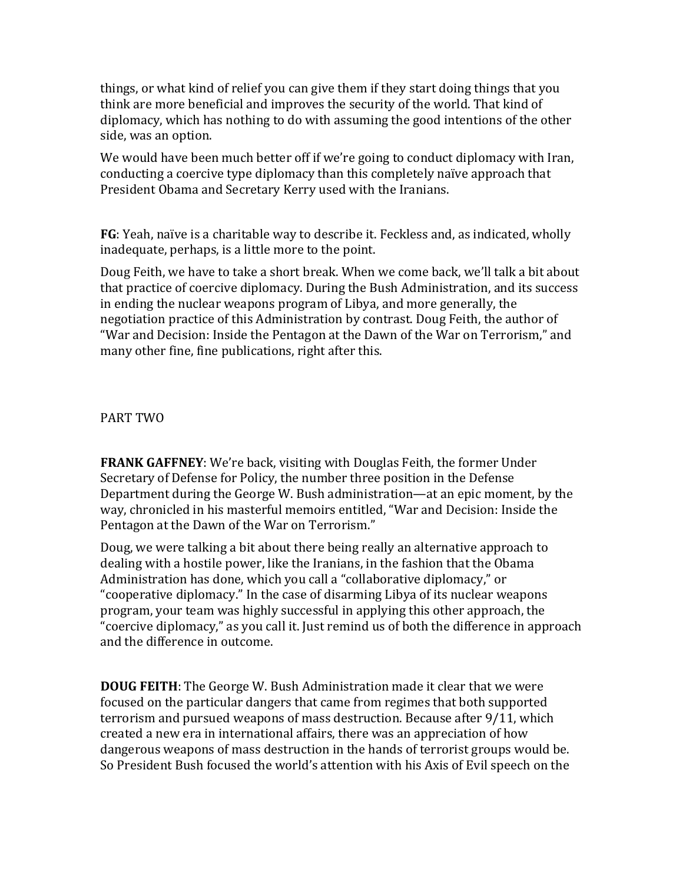things, or what kind of relief you can give them if they start doing things that you think are more beneficial and improves the security of the world. That kind of diplomacy, which has nothing to do with assuming the good intentions of the other side, was an option.

We would have been much better off if we're going to conduct diplomacy with Iran, conducting a coercive type diplomacy than this completely naïve approach that President Obama and Secretary Kerry used with the Iranians.

**FG**: Yeah, naïve is a charitable way to describe it. Feckless and, as indicated, wholly inadequate, perhaps, is a little more to the point.

Doug Feith, we have to take a short break. When we come back, we'll talk a bit about that practice of coercive diplomacy. During the Bush Administration, and its success in ending the nuclear weapons program of Libya, and more generally, the negotiation practice of this Administration by contrast. Doug Feith, the author of "War and Decision: Inside the Pentagon at the Dawn of the War on Terrorism," and many other fine, fine publications, right after this.

PART TWO

**FRANK GAFFNEY**: We're back, visiting with Douglas Feith, the former Under Secretary of Defense for Policy, the number three position in the Defense Department during the George W. Bush administration—at an epic moment, by the way, chronicled in his masterful memoirs entitled, "War and Decision: Inside the Pentagon at the Dawn of the War on Terrorism."

Doug, we were talking a bit about there being really an alternative approach to dealing with a hostile power, like the Iranians, in the fashion that the Obama Administration has done, which you call a "collaborative diplomacy," or "cooperative diplomacy." In the case of disarming Libya of its nuclear weapons program, your team was highly successful in applying this other approach, the "coercive diplomacy," as you call it. Just remind us of both the difference in approach and the difference in outcome.

**DOUG FEITH**: The George W. Bush Administration made it clear that we were focused on the particular dangers that came from regimes that both supported terrorism and pursued weapons of mass destruction. Because after 9/11, which created a new era in international affairs, there was an appreciation of how dangerous weapons of mass destruction in the hands of terrorist groups would be. So President Bush focused the world's attention with his Axis of Evil speech on the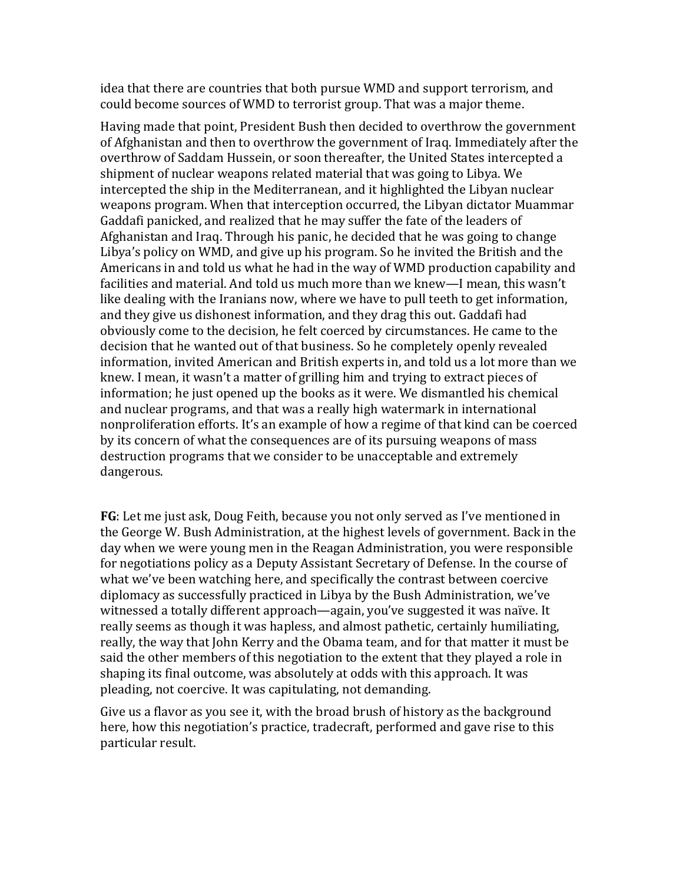idea that there are countries that both pursue WMD and support terrorism, and could become sources of WMD to terrorist group. That was a major theme.

Having made that point, President Bush then decided to overthrow the government of Afghanistan and then to overthrow the government of Iraq. Immediately after the overthrow of Saddam Hussein, or soon thereafter, the United States intercepted a shipment of nuclear weapons related material that was going to Libya. We intercepted the ship in the Mediterranean, and it highlighted the Libyan nuclear weapons program. When that interception occurred, the Libyan dictator Muammar Gaddafi panicked, and realized that he may suffer the fate of the leaders of Afghanistan and Iraq. Through his panic, he decided that he was going to change Libya's policy on WMD, and give up his program. So he invited the British and the Americans in and told us what he had in the way of WMD production capability and facilities and material. And told us much more than we knew—I mean, this wasn't like dealing with the Iranians now, where we have to pull teeth to get information, and they give us dishonest information, and they drag this out. Gaddafi had obviously come to the decision, he felt coerced by circumstances. He came to the decision that he wanted out of that business. So he completely openly revealed information, invited American and British experts in, and told us a lot more than we knew. I mean, it wasn't a matter of grilling him and trying to extract pieces of information; he just opened up the books as it were. We dismantled his chemical and nuclear programs, and that was a really high watermark in international nonproliferation efforts. It's an example of how a regime of that kind can be coerced by its concern of what the consequences are of its pursuing weapons of mass destruction programs that we consider to be unacceptable and extremely dangerous.

**FG**: Let me just ask, Doug Feith, because you not only served as I've mentioned in the George W. Bush Administration, at the highest levels of government. Back in the day when we were young men in the Reagan Administration, you were responsible for negotiations policy as a Deputy Assistant Secretary of Defense. In the course of what we've been watching here, and specifically the contrast between coercive diplomacy as successfully practiced in Libya by the Bush Administration, we've witnessed a totally different approach—again, you've suggested it was naïve. It really seems as though it was hapless, and almost pathetic, certainly humiliating, really, the way that John Kerry and the Obama team, and for that matter it must be said the other members of this negotiation to the extent that they played a role in shaping its final outcome, was absolutely at odds with this approach. It was pleading, not coercive. It was capitulating, not demanding.

Give us a flavor as you see it, with the broad brush of history as the background here, how this negotiation's practice, tradecraft, performed and gave rise to this particular result.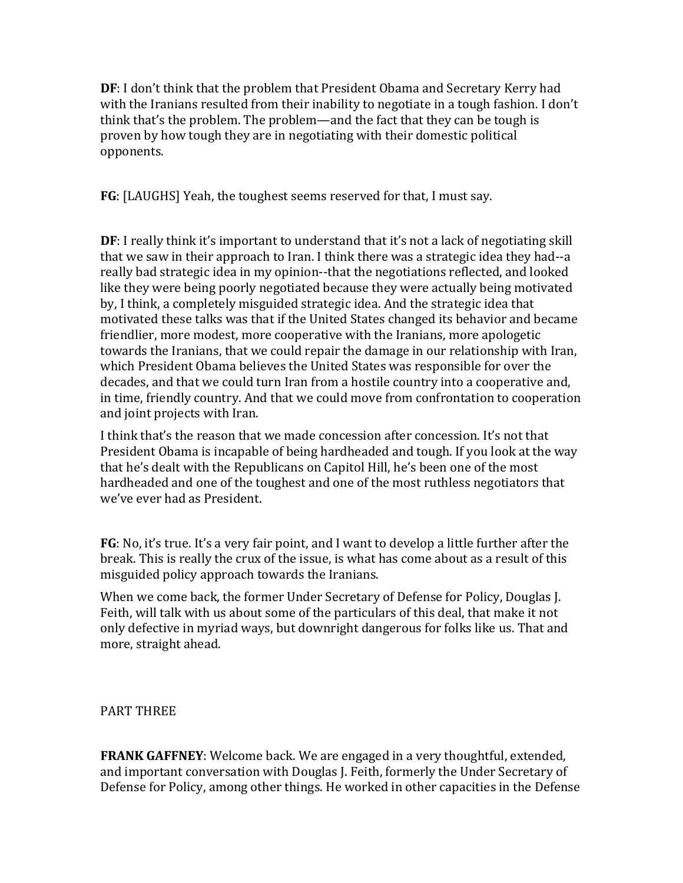**DF**: I don't think that the problem that President Obama and Secretary Kerry had with the Iranians resulted from their inability to negotiate in a tough fashion. I don't think that's the problem. The problem—and the fact that they can be tough is proven by how tough they are in negotiating with their domestic political opponents.

**FG**: [LAUGHS] Yeah, the toughest seems reserved for that, I must say.

**DF**: I really think it's important to understand that it's not a lack of negotiating skill that we saw in their approach to Iran. I think there was a strategic idea they had--a really bad strategic idea in my opinion--that the negotiations reflected, and looked like they were being poorly negotiated because they were actually being motivated by, I think, a completely misguided strategic idea. And the strategic idea that motivated these talks was that if the United States changed its behavior and became friendlier, more modest, more cooperative with the Iranians, more apologetic towards the Iranians, that we could repair the damage in our relationship with Iran, which President Obama believes the United States was responsible for over the decades, and that we could turn Iran from a hostile country into a cooperative and, in time, friendly country. And that we could move from confrontation to cooperation and joint projects with Iran.

I think that's the reason that we made concession after concession. It's not that President Obama is incapable of being hardheaded and tough. If you look at the way that he's dealt with the Republicans on Capitol Hill, he's been one of the most hardheaded and one of the toughest and one of the most ruthless negotiators that we've ever had as President.

**FG**: No, it's true. It's a very fair point, and I want to develop a little further after the break. This is really the crux of the issue, is what has come about as a result of this misguided policy approach towards the Iranians.

When we come back, the former Under Secretary of Defense for Policy, Douglas J. Feith, will talk with us about some of the particulars of this deal, that make it not only defective in myriad ways, but downright dangerous for folks like us. That and more, straight ahead.

## PART THREE

**FRANK GAFFNEY**: Welcome back. We are engaged in a very thoughtful, extended, and important conversation with Douglas J. Feith, formerly the Under Secretary of Defense for Policy, among other things. He worked in other capacities in the Defense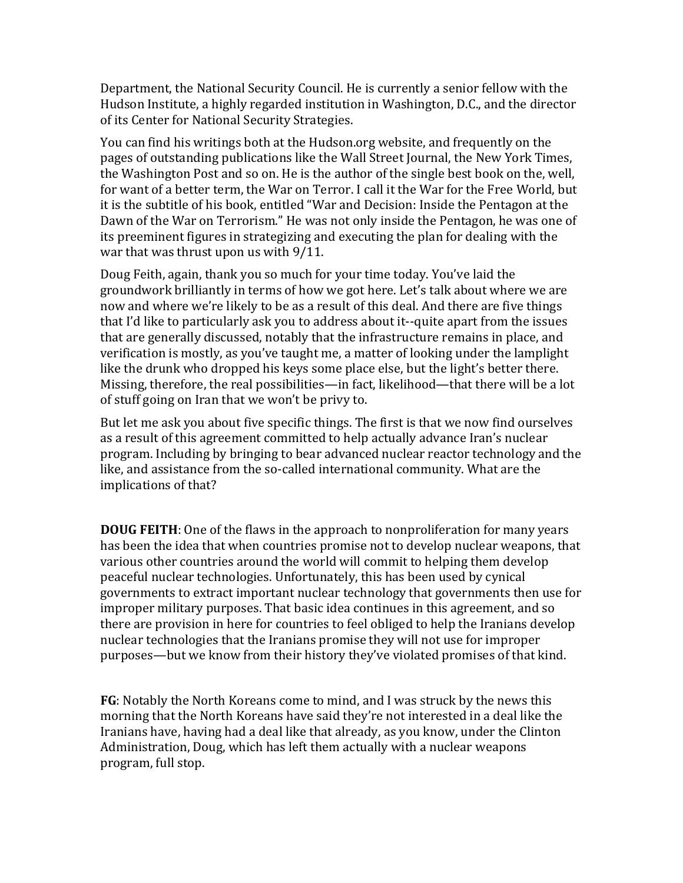Department, the National Security Council. He is currently a senior fellow with the Hudson Institute, a highly regarded institution in Washington, D.C., and the director of its Center for National Security Strategies.

You can find his writings both at the Hudson.org website, and frequently on the pages of outstanding publications like the Wall Street Journal, the New York Times, the Washington Post and so on. He is the author of the single best book on the, well, for want of a better term, the War on Terror. I call it the War for the Free World, but it is the subtitle of his book, entitled "War and Decision: Inside the Pentagon at the Dawn of the War on Terrorism." He was not only inside the Pentagon, he was one of its preeminent figures in strategizing and executing the plan for dealing with the war that was thrust upon us with 9/11.

Doug Feith, again, thank you so much for your time today. You've laid the groundwork brilliantly in terms of how we got here. Let's talk about where we are now and where we're likely to be as a result of this deal. And there are five things that I'd like to particularly ask you to address about it--quite apart from the issues that are generally discussed, notably that the infrastructure remains in place, and verification is mostly, as you've taught me, a matter of looking under the lamplight like the drunk who dropped his keys some place else, but the light's better there. Missing, therefore, the real possibilities—in fact, likelihood—that there will be a lot of stuff going on Iran that we won't be privy to.

But let me ask you about five specific things. The first is that we now find ourselves as a result of this agreement committed to help actually advance Iran's nuclear program. Including by bringing to bear advanced nuclear reactor technology and the like, and assistance from the so-called international community. What are the implications of that?

**DOUG FEITH**: One of the flaws in the approach to nonproliferation for many years has been the idea that when countries promise not to develop nuclear weapons, that various other countries around the world will commit to helping them develop peaceful nuclear technologies. Unfortunately, this has been used by cynical governments to extract important nuclear technology that governments then use for improper military purposes. That basic idea continues in this agreement, and so there are provision in here for countries to feel obliged to help the Iranians develop nuclear technologies that the Iranians promise they will not use for improper purposes—but we know from their history they've violated promises of that kind.

**FG**: Notably the North Koreans come to mind, and I was struck by the news this morning that the North Koreans have said they're not interested in a deal like the Iranians have, having had a deal like that already, as you know, under the Clinton Administration, Doug, which has left them actually with a nuclear weapons program, full stop.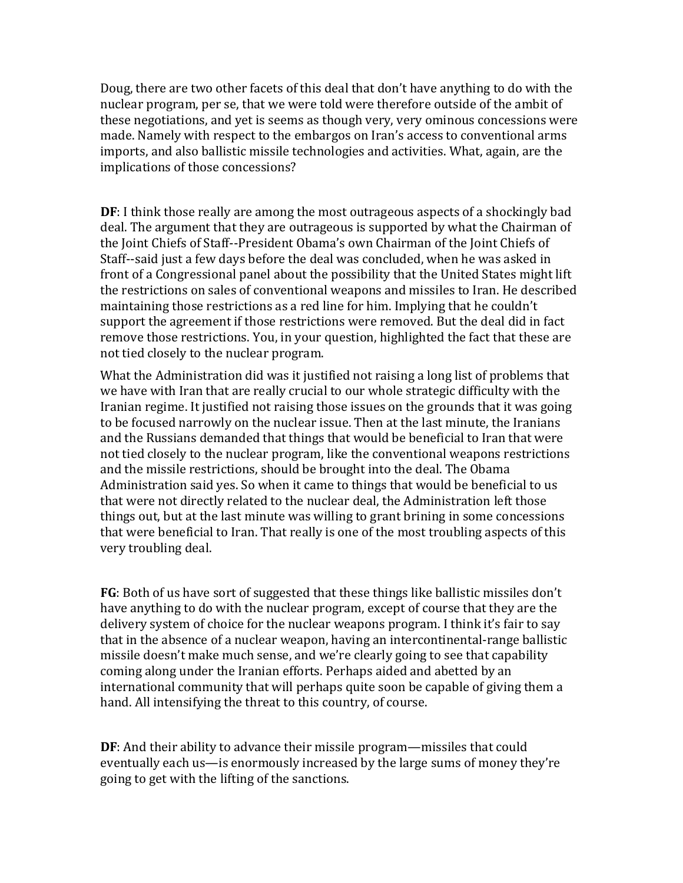Doug, there are two other facets of this deal that don't have anything to do with the nuclear program, per se, that we were told were therefore outside of the ambit of these negotiations, and yet is seems as though very, very ominous concessions were made. Namely with respect to the embargos on Iran's access to conventional arms imports, and also ballistic missile technologies and activities. What, again, are the implications of those concessions?

**DF**: I think those really are among the most outrageous aspects of a shockingly bad deal. The argument that they are outrageous is supported by what the Chairman of the Joint Chiefs of Staff--President Obama's own Chairman of the Joint Chiefs of Staff--said just a few days before the deal was concluded, when he was asked in front of a Congressional panel about the possibility that the United States might lift the restrictions on sales of conventional weapons and missiles to Iran. He described maintaining those restrictions as a red line for him. Implying that he couldn't support the agreement if those restrictions were removed. But the deal did in fact remove those restrictions. You, in your question, highlighted the fact that these are not tied closely to the nuclear program.

What the Administration did was it justified not raising a long list of problems that we have with Iran that are really crucial to our whole strategic difficulty with the Iranian regime. It justified not raising those issues on the grounds that it was going to be focused narrowly on the nuclear issue. Then at the last minute, the Iranians and the Russians demanded that things that would be beneficial to Iran that were not tied closely to the nuclear program, like the conventional weapons restrictions and the missile restrictions, should be brought into the deal. The Obama Administration said yes. So when it came to things that would be beneficial to us that were not directly related to the nuclear deal, the Administration left those things out, but at the last minute was willing to grant brining in some concessions that were beneficial to Iran. That really is one of the most troubling aspects of this very troubling deal.

**FG**: Both of us have sort of suggested that these things like ballistic missiles don't have anything to do with the nuclear program, except of course that they are the delivery system of choice for the nuclear weapons program. I think it's fair to say that in the absence of a nuclear weapon, having an intercontinental-range ballistic missile doesn't make much sense, and we're clearly going to see that capability coming along under the Iranian efforts. Perhaps aided and abetted by an international community that will perhaps quite soon be capable of giving them a hand. All intensifying the threat to this country, of course.

**DF**: And their ability to advance their missile program—missiles that could eventually each us—is enormously increased by the large sums of money they're going to get with the lifting of the sanctions.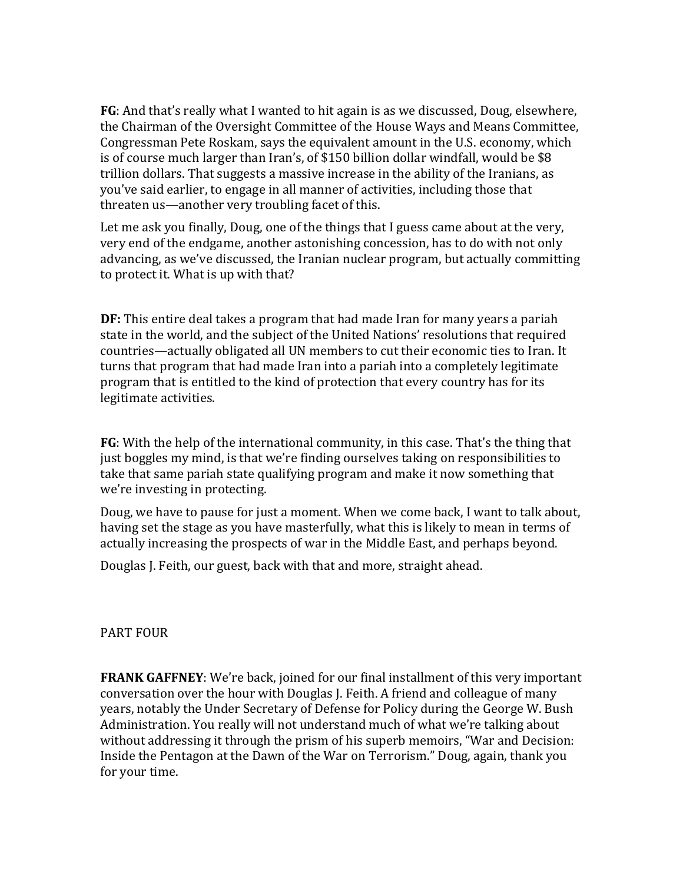**FG**: And that's really what I wanted to hit again is as we discussed, Doug, elsewhere, the Chairman of the Oversight Committee of the House Ways and Means Committee, Congressman Pete Roskam, says the equivalent amount in the U.S. economy, which is of course much larger than Iran's, of \$150 billion dollar windfall, would be \$8 trillion dollars. That suggests a massive increase in the ability of the Iranians, as you've said earlier, to engage in all manner of activities, including those that threaten us—another very troubling facet of this.

Let me ask you finally, Doug, one of the things that I guess came about at the very, very end of the endgame, another astonishing concession, has to do with not only advancing, as we've discussed, the Iranian nuclear program, but actually committing to protect it. What is up with that?

**DF:** This entire deal takes a program that had made Iran for many years a pariah state in the world, and the subject of the United Nations' resolutions that required countries—actually obligated all UN members to cut their economic ties to Iran. It turns that program that had made Iran into a pariah into a completely legitimate program that is entitled to the kind of protection that every country has for its legitimate activities.

**FG**: With the help of the international community, in this case. That's the thing that just boggles my mind, is that we're finding ourselves taking on responsibilities to take that same pariah state qualifying program and make it now something that we're investing in protecting.

Doug, we have to pause for just a moment. When we come back, I want to talk about, having set the stage as you have masterfully, what this is likely to mean in terms of actually increasing the prospects of war in the Middle East, and perhaps beyond.

Douglas J. Feith, our guest, back with that and more, straight ahead.

## PART FOUR

**FRANK GAFFNEY**: We're back, joined for our final installment of this very important conversation over the hour with Douglas J. Feith. A friend and colleague of many years, notably the Under Secretary of Defense for Policy during the George W. Bush Administration. You really will not understand much of what we're talking about without addressing it through the prism of his superb memoirs, "War and Decision: Inside the Pentagon at the Dawn of the War on Terrorism." Doug, again, thank you for your time.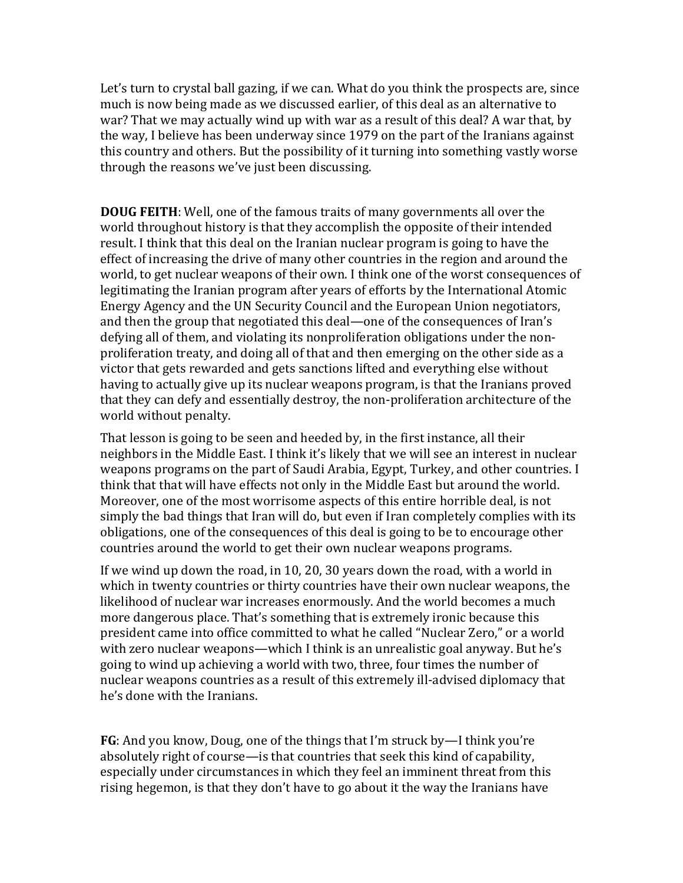Let's turn to crystal ball gazing, if we can. What do you think the prospects are, since much is now being made as we discussed earlier, of this deal as an alternative to war? That we may actually wind up with war as a result of this deal? A war that, by the way, I believe has been underway since 1979 on the part of the Iranians against this country and others. But the possibility of it turning into something vastly worse through the reasons we've just been discussing.

**DOUG FEITH**: Well, one of the famous traits of many governments all over the world throughout history is that they accomplish the opposite of their intended result. I think that this deal on the Iranian nuclear program is going to have the effect of increasing the drive of many other countries in the region and around the world, to get nuclear weapons of their own. I think one of the worst consequences of legitimating the Iranian program after years of efforts by the International Atomic Energy Agency and the UN Security Council and the European Union negotiators, and then the group that negotiated this deal—one of the consequences of Iran's defying all of them, and violating its nonproliferation obligations under the nonproliferation treaty, and doing all of that and then emerging on the other side as a victor that gets rewarded and gets sanctions lifted and everything else without having to actually give up its nuclear weapons program, is that the Iranians proved that they can defy and essentially destroy, the non-proliferation architecture of the world without penalty.

That lesson is going to be seen and heeded by, in the first instance, all their neighbors in the Middle East. I think it's likely that we will see an interest in nuclear weapons programs on the part of Saudi Arabia, Egypt, Turkey, and other countries. I think that that will have effects not only in the Middle East but around the world. Moreover, one of the most worrisome aspects of this entire horrible deal, is not simply the bad things that Iran will do, but even if Iran completely complies with its obligations, one of the consequences of this deal is going to be to encourage other countries around the world to get their own nuclear weapons programs.

If we wind up down the road, in 10, 20, 30 years down the road, with a world in which in twenty countries or thirty countries have their own nuclear weapons, the likelihood of nuclear war increases enormously. And the world becomes a much more dangerous place. That's something that is extremely ironic because this president came into office committed to what he called "Nuclear Zero," or a world with zero nuclear weapons—which I think is an unrealistic goal anyway. But he's going to wind up achieving a world with two, three, four times the number of nuclear weapons countries as a result of this extremely ill-advised diplomacy that he's done with the Iranians.

**FG**: And you know, Doug, one of the things that I'm struck by—I think you're absolutely right of course—is that countries that seek this kind of capability, especially under circumstances in which they feel an imminent threat from this rising hegemon, is that they don't have to go about it the way the Iranians have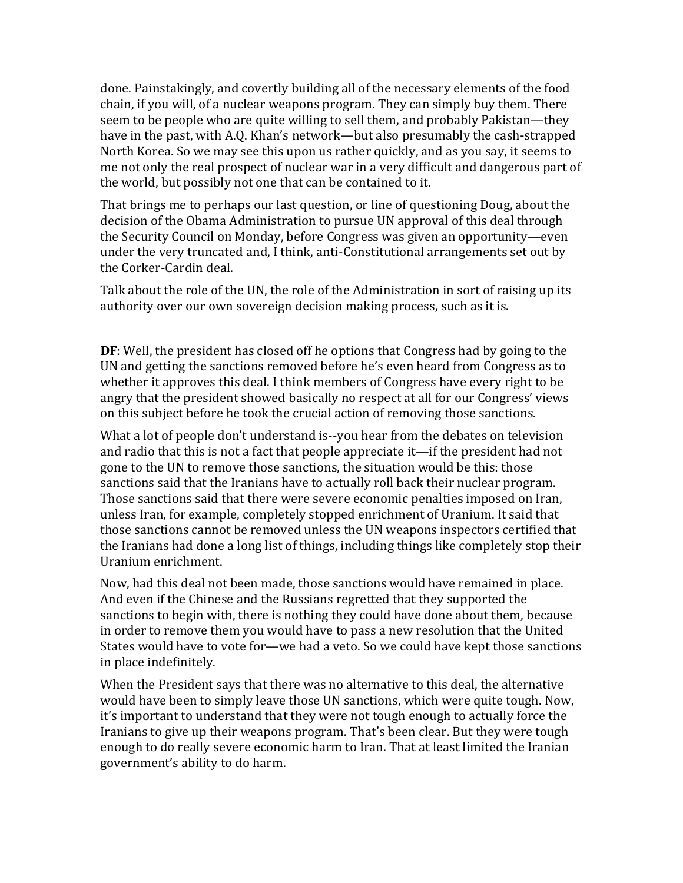done. Painstakingly, and covertly building all of the necessary elements of the food chain, if you will, of a nuclear weapons program. They can simply buy them. There seem to be people who are quite willing to sell them, and probably Pakistan—they have in the past, with A.Q. Khan's network—but also presumably the cash-strapped North Korea. So we may see this upon us rather quickly, and as you say, it seems to me not only the real prospect of nuclear war in a very difficult and dangerous part of the world, but possibly not one that can be contained to it.

That brings me to perhaps our last question, or line of questioning Doug, about the decision of the Obama Administration to pursue UN approval of this deal through the Security Council on Monday, before Congress was given an opportunity—even under the very truncated and, I think, anti-Constitutional arrangements set out by the Corker-Cardin deal.

Talk about the role of the UN, the role of the Administration in sort of raising up its authority over our own sovereign decision making process, such as it is.

**DF**: Well, the president has closed off he options that Congress had by going to the UN and getting the sanctions removed before he's even heard from Congress as to whether it approves this deal. I think members of Congress have every right to be angry that the president showed basically no respect at all for our Congress' views on this subject before he took the crucial action of removing those sanctions.

What a lot of people don't understand is--you hear from the debates on television and radio that this is not a fact that people appreciate it—if the president had not gone to the UN to remove those sanctions, the situation would be this: those sanctions said that the Iranians have to actually roll back their nuclear program. Those sanctions said that there were severe economic penalties imposed on Iran, unless Iran, for example, completely stopped enrichment of Uranium. It said that those sanctions cannot be removed unless the UN weapons inspectors certified that the Iranians had done a long list of things, including things like completely stop their Uranium enrichment.

Now, had this deal not been made, those sanctions would have remained in place. And even if the Chinese and the Russians regretted that they supported the sanctions to begin with, there is nothing they could have done about them, because in order to remove them you would have to pass a new resolution that the United States would have to vote for—we had a veto. So we could have kept those sanctions in place indefinitely.

When the President says that there was no alternative to this deal, the alternative would have been to simply leave those UN sanctions, which were quite tough. Now, it's important to understand that they were not tough enough to actually force the Iranians to give up their weapons program. That's been clear. But they were tough enough to do really severe economic harm to Iran. That at least limited the Iranian government's ability to do harm.